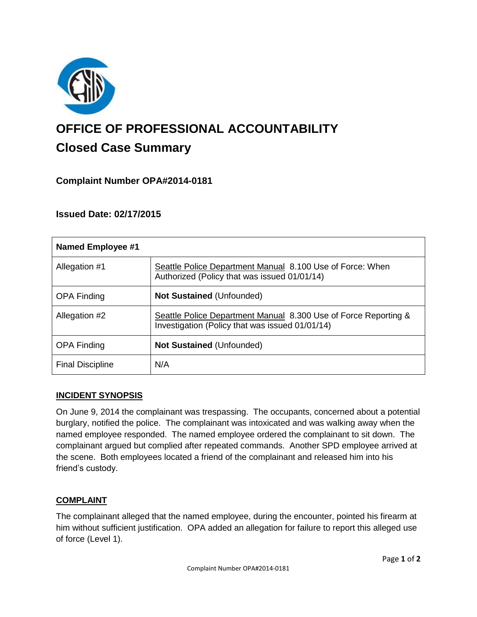

# **OFFICE OF PROFESSIONAL ACCOUNTABILITY Closed Case Summary**

## **Complaint Number OPA#2014-0181**

## **Issued Date: 02/17/2015**

| <b>Named Employee #1</b> |                                                                                                                    |
|--------------------------|--------------------------------------------------------------------------------------------------------------------|
| Allegation #1            | Seattle Police Department Manual 8.100 Use of Force: When<br>Authorized (Policy that was issued 01/01/14)          |
| <b>OPA Finding</b>       | <b>Not Sustained (Unfounded)</b>                                                                                   |
| Allegation #2            | Seattle Police Department Manual 8.300 Use of Force Reporting &<br>Investigation (Policy that was issued 01/01/14) |
| <b>OPA Finding</b>       | <b>Not Sustained (Unfounded)</b>                                                                                   |
| <b>Final Discipline</b>  | N/A                                                                                                                |

## **INCIDENT SYNOPSIS**

On June 9, 2014 the complainant was trespassing. The occupants, concerned about a potential burglary, notified the police. The complainant was intoxicated and was walking away when the named employee responded. The named employee ordered the complainant to sit down. The complainant argued but complied after repeated commands. Another SPD employee arrived at the scene. Both employees located a friend of the complainant and released him into his friend's custody.

## **COMPLAINT**

The complainant alleged that the named employee, during the encounter, pointed his firearm at him without sufficient justification. OPA added an allegation for failure to report this alleged use of force (Level 1).